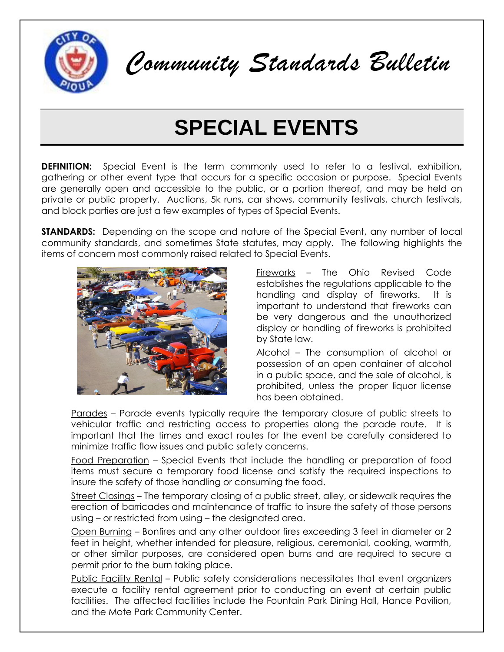

*Community Standards Bulletin* 

## **SPECIAL EVENTS**

**DEFINITION:** Special Event is the term commonly used to refer to a festival, exhibition, gathering or other event type that occurs for a specific occasion or purpose. Special Events are generally open and accessible to the public, or a portion thereof, and may be held on private or public property. Auctions, 5k runs, car shows, community festivals, church festivals, and block parties are just a few examples of types of Special Events.

**STANDARDS:** Depending on the scope and nature of the Special Event, any number of local community standards, and sometimes State statutes, may apply. The following highlights the items of concern most commonly raised related to Special Events.



Fireworks – The Ohio Revised Code establishes the regulations applicable to the handling and display of fireworks. It is important to understand that fireworks can be very dangerous and the unauthorized display or handling of fireworks is prohibited by State law.

Alcohol - The consumption of alcohol or possession of an open container of alcohol in a public space, and the sale of alcohol, is prohibited, unless the proper liquor license has been obtained.

Parades – Parade events typically require the temporary closure of public streets to vehicular traffic and restricting access to properties along the parade route. It is important that the times and exact routes for the event be carefully considered to minimize traffic flow issues and public safety concerns.

Food Preparation – Special Events that include the handling or preparation of food items must secure a temporary food license and satisfy the required inspections to insure the safety of those handling or consuming the food.

Street Closings – The temporary closing of a public street, alley, or sidewalk requires the erection of barricades and maintenance of traffic to insure the safety of those persons using – or restricted from using – the designated area.

Open Burning – Bonfires and any other outdoor fires exceeding 3 feet in diameter or 2 feet in height, whether intended for pleasure, religious, ceremonial, cooking, warmth, or other similar purposes, are considered open burns and are required to secure a permit prior to the burn taking place.

Public Facility Rental – Public safety considerations necessitates that event organizers execute a facility rental agreement prior to conducting an event at certain public facilities. The affected facilities include the Fountain Park Dining Hall, Hance Pavilion, and the Mote Park Community Center.